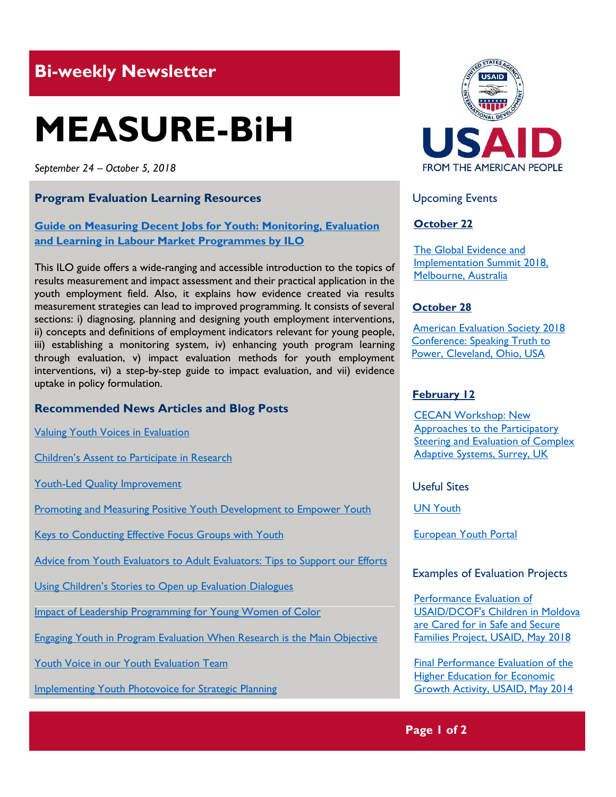# **Bi-weekly Newsletter**

# **MEASURE-BiH**

*September 24 – October 5, 2018*

#### **Program Evaluation Learning Resources**

#### **[Guide on Measuring Decent Jobs for Youth: Monitoring, Evaluation](https://www.ilo.org/wcmsp5/groups/public/---ed_emp/documents/instructionalmaterial/wcms_627640.pdf)  [and Learning in Labour Market Programmes by ILO](https://www.ilo.org/wcmsp5/groups/public/---ed_emp/documents/instructionalmaterial/wcms_627640.pdf)**

This ILO guide offers a wide-ranging and accessible introduction to the topics of results measurement and impact assessment and their practical application in the youth employment field. Also, it explains how evidence created via results measurement strategies can lead to improved programming. It consists of several sections: i) diagnosing, planning and designing youth employment interventions, ii) concepts and definitions of employment indicators relevant for young people, iii) establishing a monitoring system, iv) enhancing youth program learning through evaluation, v) impact evaluation methods for youth employment interventions, vi) a step-by-step guide to impact evaluation, and vii) evidence uptake in policy formulation.

#### **Recommended News Articles and Blog Posts**

[Valuing Youth Voices in Evaluation](https://aea365.org/blog/cea-week-valuing-youth-voices-in-evaluation-by-amanda-lambie-cara-karter-and-michelle-lopez/)

[Children's Assent to Participate in Research](https://aea365.org/blog/yfe-week-nick-petten-on-childrens-assent-to-participate-in-research/)

[Youth-Led Quality Improvement](https://aea365.org/blog/yfe-tig-week-sara-plachta-elliott-and-alicia-mccormick-on-youth-led-quality-improvement/)

[Promoting and Measuring Positive Youth Development to Empower Youth](https://aea365.org/blog/yfe-tig-week-cassandra-jessee-on-promoting-and-measuring-positive-youth-development-to-empower-youth/)

[Keys to Conducting Effective Focus Groups with Youth](https://aea365.org/blog/yfe-tig-week-somongkol-teng-on-keys-to-conducting-effective-focus-groups-with-youth/)

[Advice from Youth Evaluators to Adult Evaluators: Tips to Support our Efforts](https://aea365.org/blog/yfe-tig-week-abhijay-kumar-and-jordan-scrimger-on-advice-from-youth-evaluators-to-adult-evaluators-tips-to-support-our-efforts/)

[Using Children's Stories to Open up Evaluation Dialogues](https://aea365.org/blog/best-of-aea365-week-michael-quinn-patton-on-using-childrens-stories-to-open-up-evaluation-dialogues/)

[Impact of Leadership Programming for Young Women of Color](https://aea365.org/blog/yfe-tig-week-nicole-clark-on-reflecting-on-the-impact-of-leadership-programming-for-young-women-of-color/)

[Engaging Youth in Program Evaluation When Research is the Main Objective](https://aea365.org/blog/yfe-week-susan-igras-on-engaging-youth-in-program-evaluation-when-research-is-the-main-objective/)

[Youth Voice in our Youth Evaluation Team](https://aea365.org/blog/yfe-week-aspen-foy-journey-henderson-sira-sangarie-sati-xiong-alexus-mc-clain-on-youth-voice-in-our-youth-evaluation-team/)

[Implementing Youth Photovoice for Strategic Planning](https://aea365.org/blog/yfe-week-elizabeth-diluzio-and-miranda-yates-on-implementing-youth-photovoice-for-strategic-planning/)



#### Upcoming Events

#### **October 22**

[The Global Evidence](https://www.geis2018.org/) and [Implementation Summit 2018,](https://www.geis2018.org/) [Melbourne, Australia](https://www.geis2018.org/)

#### **October 28**

 [American Evaluation Society 2018](http://mande.co.uk/conferences/?event_id1=7113)   [Conference: Speaking Truth to](http://mande.co.uk/conferences/?event_id1=7113)   [Power, Cleveland, Ohio, USA](http://mande.co.uk/conferences/?event_id1=7113) 

#### **February 12**

[CECAN Workshop: New](https://www.cecan.ac.uk/events/cecan-workshop-new-approaches-to-participatory-steering-and-evaluation-of-complex-adaptive)  [Approaches to the Participatory](https://www.cecan.ac.uk/events/cecan-workshop-new-approaches-to-participatory-steering-and-evaluation-of-complex-adaptive)  [Steering and Evaluation of Complex](https://www.cecan.ac.uk/events/cecan-workshop-new-approaches-to-participatory-steering-and-evaluation-of-complex-adaptive)  [Adaptive Systems, Surrey, UK](https://www.cecan.ac.uk/events/cecan-workshop-new-approaches-to-participatory-steering-and-evaluation-of-complex-adaptive) 

Useful Sites

[UN Youth](https://www.un.org/development/desa/youth/)

[European Youth Portal](https://europa.eu/youth/EU_en)

#### Examples of Evaluation Projects

[Performance Evaluation of](https://dec.usaid.gov/dec/content/Detail_Presto.aspx?ctID=ODVhZjk4NWQtM2YyMi00YjRmLTkxNjktZTcxMjM2NDBmY2Uy&rID=NTEwODE0&qrs=RmFsc2U%3d&q=ZG9jdW1lbnRzLmRlc2NyaXB0aW9uc19mcm9tX3RoZXNhdXJ1czooIkNoaWxkcmVuIik%3d&qcf=ODVhZjk4NWQtM2YyMi00YjRmLTkxNjktZTcxMjM2NDBmY2Uy&ph=VHJ1ZQ%3d%3d&bckToL=VHJ1ZQ%3d%3d&rrtc=VHJ1ZQ%3d%3d)  [USAID/DCOF's Children in Moldova](https://dec.usaid.gov/dec/content/Detail_Presto.aspx?ctID=ODVhZjk4NWQtM2YyMi00YjRmLTkxNjktZTcxMjM2NDBmY2Uy&rID=NTEwODE0&qrs=RmFsc2U%3d&q=ZG9jdW1lbnRzLmRlc2NyaXB0aW9uc19mcm9tX3RoZXNhdXJ1czooIkNoaWxkcmVuIik%3d&qcf=ODVhZjk4NWQtM2YyMi00YjRmLTkxNjktZTcxMjM2NDBmY2Uy&ph=VHJ1ZQ%3d%3d&bckToL=VHJ1ZQ%3d%3d&rrtc=VHJ1ZQ%3d%3d)  are Cared for in [Safe and Secure](https://dec.usaid.gov/dec/content/Detail_Presto.aspx?ctID=ODVhZjk4NWQtM2YyMi00YjRmLTkxNjktZTcxMjM2NDBmY2Uy&rID=NTEwODE0&qrs=RmFsc2U%3d&q=ZG9jdW1lbnRzLmRlc2NyaXB0aW9uc19mcm9tX3RoZXNhdXJ1czooIkNoaWxkcmVuIik%3d&qcf=ODVhZjk4NWQtM2YyMi00YjRmLTkxNjktZTcxMjM2NDBmY2Uy&ph=VHJ1ZQ%3d%3d&bckToL=VHJ1ZQ%3d%3d&rrtc=VHJ1ZQ%3d%3d)  [Families Project, USAID, May](https://dec.usaid.gov/dec/content/Detail_Presto.aspx?ctID=ODVhZjk4NWQtM2YyMi00YjRmLTkxNjktZTcxMjM2NDBmY2Uy&rID=NTEwODE0&qrs=RmFsc2U%3d&q=ZG9jdW1lbnRzLmRlc2NyaXB0aW9uc19mcm9tX3RoZXNhdXJ1czooIkNoaWxkcmVuIik%3d&qcf=ODVhZjk4NWQtM2YyMi00YjRmLTkxNjktZTcxMjM2NDBmY2Uy&ph=VHJ1ZQ%3d%3d&bckToL=VHJ1ZQ%3d%3d&rrtc=VHJ1ZQ%3d%3d) 2018

[Final Performance Evaluation of the](https://dec.usaid.gov/dec/content/Detail_Presto.aspx?ctID=ODVhZjk4NWQtM2YyMi00YjRmLTkxNjktZTcxMjM2NDBmY2Uy&rID=NTEwNTgw&qrs=RmFsc2U%3d&q=KERvY3VtZW50cy5CaWJ0eXBlX05hbWU6KCgiU3BlY2lhbCBFdmFsdWF0aW9uIikgT1IgKCJGaW5hbCBFdmFsdWF0aW9uIFJlcG9ydCIpKSk%3d&swi=eW91dGg%3d&ph=VHJ1ZQ%3d%3d&bckToL=VHJ1ZQ%3d%3d&rrtc=VHJ1ZQ%3d%3d)  **Higher Education for Economic** [Growth Activity, USAID, May](https://dec.usaid.gov/dec/content/Detail_Presto.aspx?ctID=ODVhZjk4NWQtM2YyMi00YjRmLTkxNjktZTcxMjM2NDBmY2Uy&rID=NTEwNTgw&qrs=RmFsc2U%3d&q=KERvY3VtZW50cy5CaWJ0eXBlX05hbWU6KCgiU3BlY2lhbCBFdmFsdWF0aW9uIikgT1IgKCJGaW5hbCBFdmFsdWF0aW9uIFJlcG9ydCIpKSk%3d&swi=eW91dGg%3d&ph=VHJ1ZQ%3d%3d&bckToL=VHJ1ZQ%3d%3d&rrtc=VHJ1ZQ%3d%3d) 201[4](https://dec.usaid.gov/dec/content/Detail_Presto.aspx?ctID=ODVhZjk4NWQtM2YyMi00YjRmLTkxNjktZTcxMjM2NDBmY2Uy&rID=NTEwNTgw&qrs=RmFsc2U%3d&q=KERvY3VtZW50cy5CaWJ0eXBlX05hbWU6KCgiU3BlY2lhbCBFdmFsdWF0aW9uIikgT1IgKCJGaW5hbCBFdmFsdWF0aW9uIFJlcG9ydCIpKSk%3d&swi=eW91dGg%3d&ph=VHJ1ZQ%3d%3d&bckToL=VHJ1ZQ%3d%3d&rrtc=VHJ1ZQ%3d%3d)

### **Page 1 of 2**